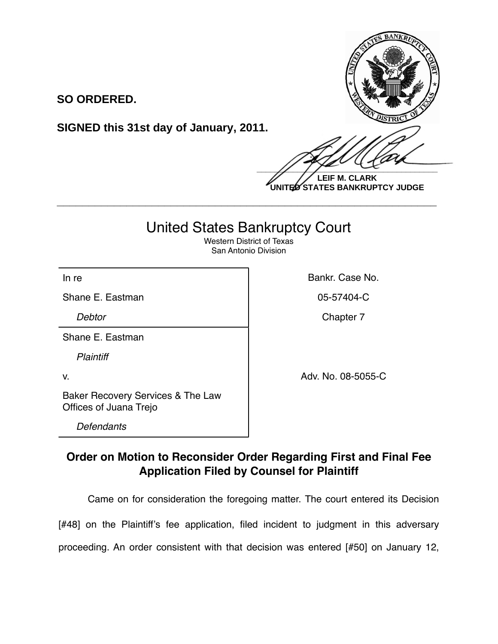**SO ORDERED.**

**SIGNED this 31st day of January, 2011.**

 $\frac{1}{2}$ 

**LEIF M. CLARK UNITED STATES BANKRUPTCY JUDGE**

## United States Bankruptcy Court

**\_\_\_\_\_\_\_\_\_\_\_\_\_\_\_\_\_\_\_\_\_\_\_\_\_\_\_\_\_\_\_\_\_\_\_\_\_\_\_\_\_\_\_\_\_\_\_\_\_\_\_\_\_\_\_\_\_\_\_\_**

Western District of Texas San Antonio Division

Shane E. Eastman **Canadian Communist Communist Communist Communist Communist Communist Communist Communist Communist Communist Communist Communist Communist Communist Communist Communist Communist Communist Communist Commu** 

Shane E. Eastman

*Plaintiff*

In re **Bankr.** Case No.

**Debtor** Chapter 7

v. Adv. No. 08-5055-C

Baker Recovery Services & The Law Offices of Juana Trejo

*Defendants*

## **Order on Motion to Reconsider Order Regarding First and Final Fee Application Filed by Counsel for Plaintiff**

Came on for consideration the foregoing matter. The court entered its Decision

[#48] on the Plaintiff's fee application, filed incident to judgment in this adversary

proceeding. An order consistent with that decision was entered [#50] on January 12,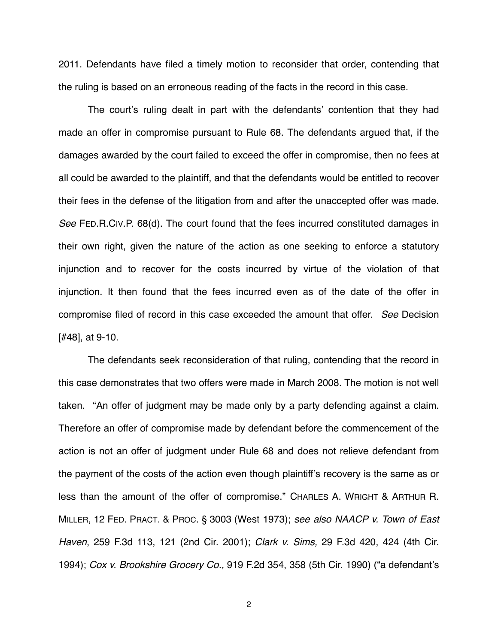2011. Defendants have filed a timely motion to reconsider that order, contending that the ruling is based on an erroneous reading of the facts in the record in this case.

The court's ruling dealt in part with the defendants' contention that they had made an offer in compromise pursuant to Rule 68. The defendants argued that, if the damages awarded by the court failed to exceed the offer in compromise, then no fees at all could be awarded to the plaintiff, and that the defendants would be entitled to recover their fees in the defense of the litigation from and after the unaccepted offer was made. *See* FED.R.CIV.P. 68(d). The court found that the fees incurred constituted damages in their own right, given the nature of the action as one seeking to enforce a statutory injunction and to recover for the costs incurred by virtue of the violation of that injunction. It then found that the fees incurred even as of the date of the offer in compromise filed of record in this case exceeded the amount that offer. *See* Decision [#48], at 9-10.

The defendants seek reconsideration of that ruling, contending that the record in this case demonstrates that two offers were made in March 2008. The motion is not well taken. "An offer of judgment may be made only by a party defending against a claim. Therefore an offer of compromise made by defendant before the commencement of the action is not an offer of judgment under Rule 68 and does not relieve defendant from the payment of the costs of the action even though plaintiff's recovery is the same as or less than the amount of the offer of compromise." CHARLES A. WRIGHT & ARTHUR R. MILLER, 12 FED. PRACT. & PROC. § 3003 (West 1973); *see also NAACP v. Town of East Haven*, 259 F.3d 113, 121 (2nd Cir. 2001); *Clark v. Sims,* 29 F.3d 420, 424 (4th Cir. 1994); *Cox v. Brookshire Grocery Co.,* 919 F.2d 354, 358 (5th Cir. 1990) ("a defendant's

2